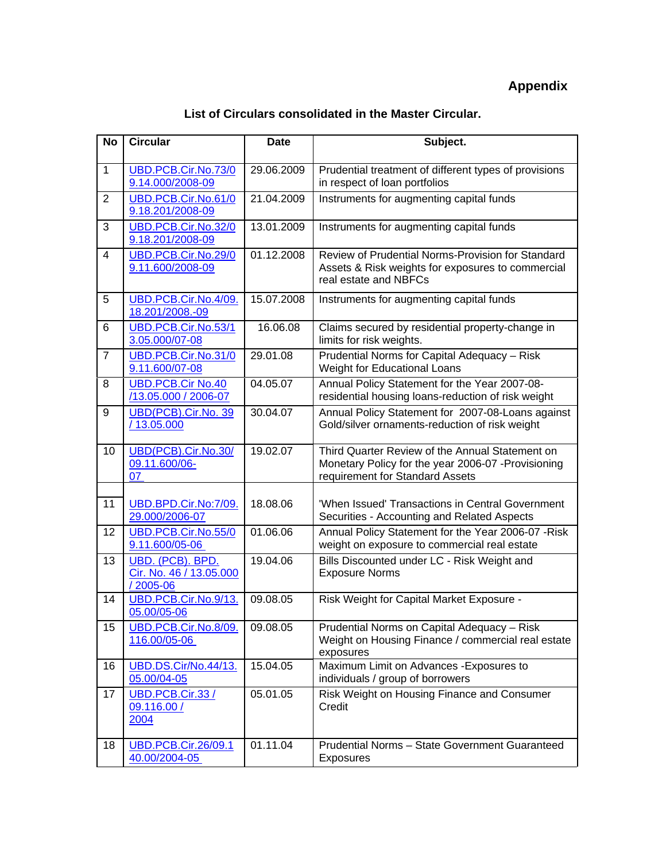## **List of Circulars consolidated in the Master Circular.**

| <b>No</b>      | <b>Circular</b>                                         | <b>Date</b> | Subject.                                                                                                                                 |
|----------------|---------------------------------------------------------|-------------|------------------------------------------------------------------------------------------------------------------------------------------|
| $\mathbf{1}$   | UBD.PCB.Cir.No.73/0<br>9.14.000/2008-09                 | 29.06.2009  | Prudential treatment of different types of provisions<br>in respect of loan portfolios                                                   |
| 2              | UBD.PCB.Cir.No.61/0<br>9.18.201/2008-09                 | 21.04.2009  | Instruments for augmenting capital funds                                                                                                 |
| 3              | UBD.PCB.Cir.No.32/0<br>9.18.201/2008-09                 | 13.01.2009  | Instruments for augmenting capital funds                                                                                                 |
| $\overline{4}$ | UBD.PCB.Cir.No.29/0<br>9.11.600/2008-09                 | 01.12.2008  | Review of Prudential Norms-Provision for Standard<br>Assets & Risk weights for exposures to commercial<br>real estate and NBFCs          |
| 5              | UBD.PCB.Cir.No.4/09.<br>18.201/2008.-09                 | 15.07.2008  | Instruments for augmenting capital funds                                                                                                 |
| 6              | UBD.PCB.Cir.No.53/1<br>3.05.000/07-08                   | 16.06.08    | Claims secured by residential property-change in<br>limits for risk weights.                                                             |
| $\overline{7}$ | UBD.PCB.Cir.No.31/0<br>9.11.600/07-08                   | 29.01.08    | Prudential Norms for Capital Adequacy - Risk<br>Weight for Educational Loans                                                             |
| 8              | <b>UBD.PCB.Cir No.40</b><br>/13.05.000 / 2006-07        | 04.05.07    | Annual Policy Statement for the Year 2007-08-<br>residential housing loans-reduction of risk weight                                      |
| 9              | UBD(PCB).Cir.No. 39<br>/13.05.000                       | 30.04.07    | Annual Policy Statement for 2007-08-Loans against<br>Gold/silver ornaments-reduction of risk weight                                      |
| 10             | UBD(PCB).Cir.No.30/<br>09.11.600/06-<br>07              | 19.02.07    | Third Quarter Review of the Annual Statement on<br>Monetary Policy for the year 2006-07 -Provisioning<br>requirement for Standard Assets |
| 11             | UBD.BPD.Cir.No:7/09.<br>29.000/2006-07                  | 18.08.06    | 'When Issued' Transactions in Central Government<br>Securities - Accounting and Related Aspects                                          |
| 12             | UBD.PCB.Cir.No.55/0<br>9.11.600/05-06                   | 01.06.06    | Annual Policy Statement for the Year 2006-07 -Risk<br>weight on exposure to commercial real estate                                       |
| 13             | UBD. (PCB). BPD.<br>Cir. No. 46 / 13.05.000<br>/2005-06 | 19.04.06    | Bills Discounted under LC - Risk Weight and<br><b>Exposure Norms</b>                                                                     |
| 14             | UBD.PCB.Cir.No.9/13.<br>05.00/05-06                     | 09.08.05    | Risk Weight for Capital Market Exposure -                                                                                                |
| 15             | UBD.PCB.Cir.No.8/09.<br>116.00/05-06                    | 09.08.05    | Prudential Norms on Capital Adequacy - Risk<br>Weight on Housing Finance / commercial real estate<br>exposures                           |
| 16             | UBD.DS.Cir/No.44/13.<br>05.00/04-05                     | 15.04.05    | Maximum Limit on Advances - Exposures to<br>individuals / group of borrowers                                                             |
| 17             | UBD.PCB.Cir.33/<br>09.116.00 /<br>2004                  | 05.01.05    | Risk Weight on Housing Finance and Consumer<br>Credit                                                                                    |
| 18             | <b>UBD.PCB.Cir.26/09.1</b><br>40.00/2004-05             | 01.11.04    | Prudential Norms - State Government Guaranteed<br>Exposures                                                                              |